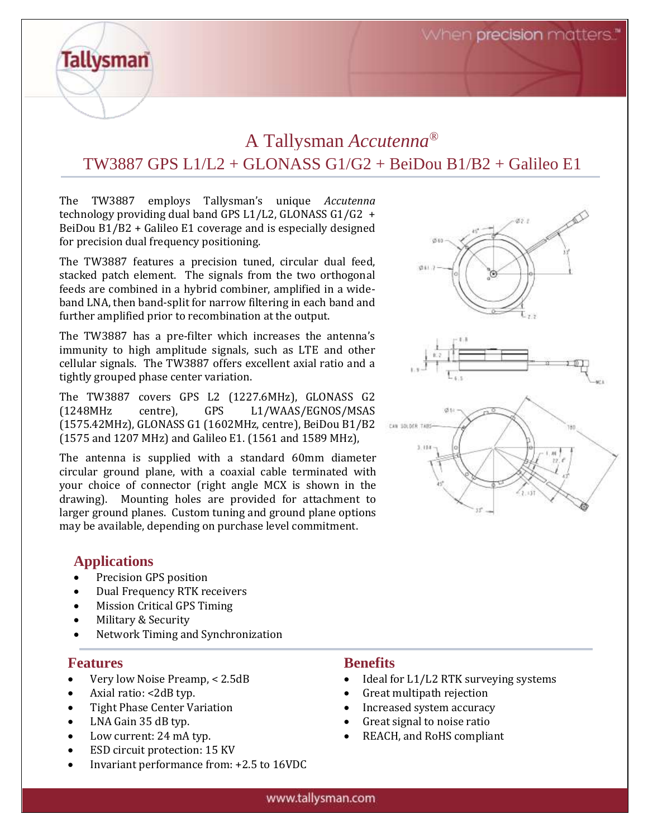When precision matters.

# A Tallysman *Accutenna®* TW3887 GPS L1/L2 + GLONASS G1/G2 + BeiDou B1/B2 + Galileo E1

The TW3887 employs Tallysman's unique *Accutenna* technology providing dual band GPS L1/L2, GLONASS G1/G2 + BeiDou B1/B2 + Galileo E1 coverage and is especially designed for precision dual frequency positioning.

The TW3887 features a precision tuned, circular dual feed, stacked patch element. The signals from the two orthogonal feeds are combined in a hybrid combiner, amplified in a wideband LNA, then band-split for narrow filtering in each band and further amplified prior to recombination at the output.

The TW3887 has a pre-filter which increases the antenna's immunity to high amplitude signals, such as LTE and other cellular signals. The TW3887 offers excellent axial ratio and a tightly grouped phase center variation.

The TW3887 covers GPS L2 (1227.6MHz), GLONASS G2 (1248MHz centre), GPS L1/WAAS/EGNOS/MSAS (1575.42MHz), GLONASS G1 (1602MHz, centre), BeiDou B1/B2 (1575 and 1207 MHz) and Galileo E1. (1561 and 1589 MHz),

The antenna is supplied with a standard 60mm diameter circular ground plane, with a coaxial cable terminated with your choice of connector (right angle MCX is shown in the drawing). Mounting holes are provided for attachment to larger ground planes. Custom tuning and ground plane options may be available, depending on purchase level commitment.

### **Applications**

**Tallysman** 

- Precision GPS position
- Dual Frequency RTK receivers
- Mission Critical GPS Timing
- Military & Security
- Network Timing and Synchronization

#### **Features**

- Very low Noise Preamp, < 2.5dB
- Axial ratio: <2dB typ.
- Tight Phase Center Variation
- LNA Gain 35 dB typ.
- Low current: 24 mA typ.
- ESD circuit protection: 15 KV
- Invariant performance from: +2.5 to 16VDC

#### **Benefits**

- Ideal for L1/L2 RTK surveying systems
- Great multipath rejection
- Increased system accuracy
- Great signal to noise ratio
- REACH, and RoHS compliant



#### www.tallysman.com